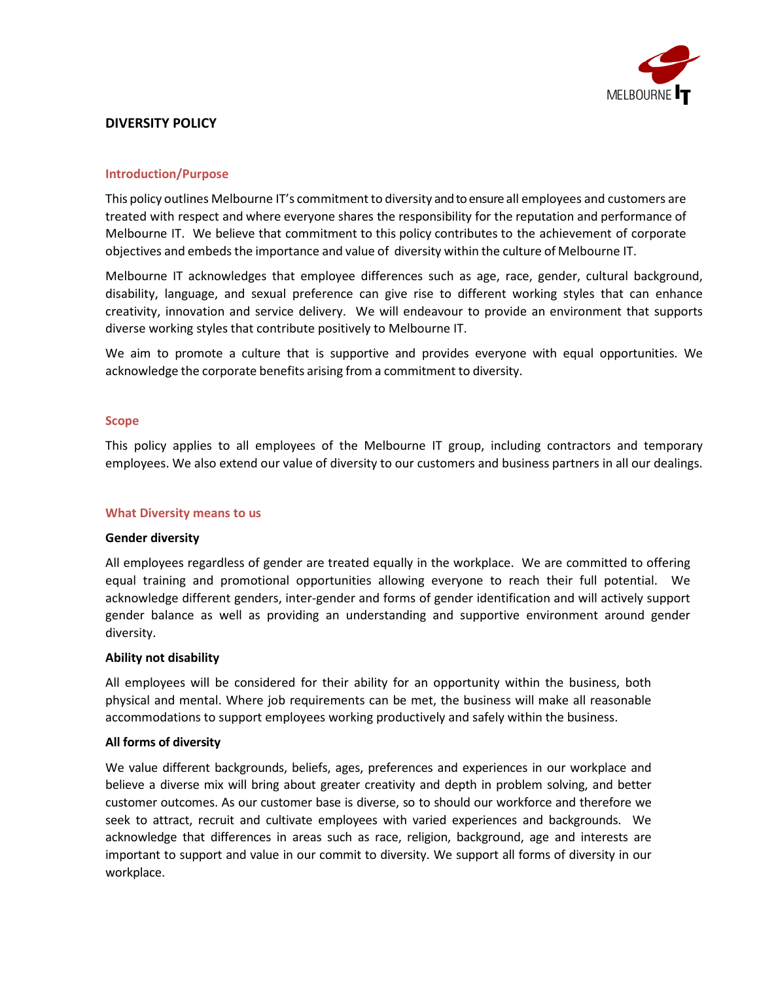

# **DIVERSITY POLICY**

#### **Introduction/Purpose**

This policy outlines Melbourne IT's commitment to diversity and to ensure all employees and customers are treated with respect and where everyone shares the responsibility for the reputation and performance of Melbourne IT. We believe that commitment to this policy contributes to the achievement of corporate objectives and embeds the importance and value of diversity within the culture of Melbourne IT.

Melbourne IT acknowledges that employee differences such as age, race, gender, cultural background, disability, language, and sexual preference can give rise to different working styles that can enhance creativity, innovation and service delivery. We will endeavour to provide an environment that supports diverse working styles that contribute positively to Melbourne IT.

We aim to promote a culture that is supportive and provides everyone with equal opportunities. We acknowledge the corporate benefits arising from a commitment to diversity.

#### **Scope**

This policy applies to all employees of the Melbourne IT group, including contractors and temporary employees. We also extend our value of diversity to our customers and business partners in all our dealings.

#### **What Diversity means to us**

#### **Gender diversity**

All employees regardless of gender are treated equally in the workplace. We are committed to offering equal training and promotional opportunities allowing everyone to reach their full potential. We acknowledge different genders, inter-gender and forms of gender identification and will actively support gender balance as well as providing an understanding and supportive environment around gender diversity.

#### **Ability not disability**

All employees will be considered for their ability for an opportunity within the business, both physical and mental. Where job requirements can be met, the business will make all reasonable accommodations to support employees working productively and safely within the business.

#### **All forms of diversity**

We value different backgrounds, beliefs, ages, preferences and experiences in our workplace and believe a diverse mix will bring about greater creativity and depth in problem solving, and better customer outcomes. As our customer base is diverse, so to should our workforce and therefore we seek to attract, recruit and cultivate employees with varied experiences and backgrounds. We acknowledge that differences in areas such as race, religion, background, age and interests are important to support and value in our commit to diversity. We support all forms of diversity in our workplace.